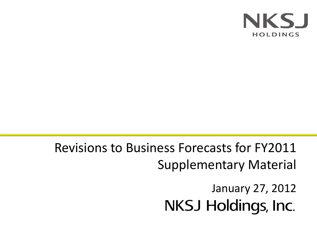

Revisions to Business Forecasts for FY2011 Supplementary Material

> January 27, 2012**NKSJ Holdings, Inc.**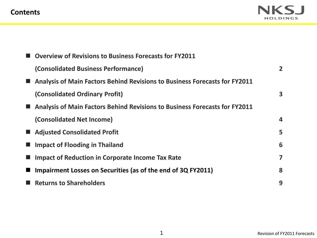# **Contents**



| <b>Overview of Revisions to Business Forecasts for FY2011</b>              |                  |
|----------------------------------------------------------------------------|------------------|
| (Consolidated Business Performance)                                        | $\overline{2}$   |
| Analysis of Main Factors Behind Revisions to Business Forecasts for FY2011 |                  |
| (Consolidated Ordinary Profit)                                             | 3                |
| Analysis of Main Factors Behind Revisions to Business Forecasts for FY2011 |                  |
| (Consolidated Net Income)                                                  | $\boldsymbol{4}$ |
| <b>Adjusted Consolidated Profit</b>                                        | 5                |
| <b>Impact of Flooding in Thailand</b>                                      | 6                |
| <b>Impact of Reduction in Corporate Income Tax Rate</b>                    | 7                |
| Impairment Losses on Securities (as of the end of 3Q FY2011)               | 8                |
| <b>Returns to Shareholders</b>                                             | 9                |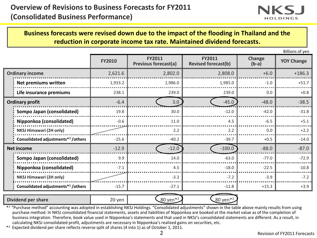

**Business forecasts were revised down due to the impact of the flooding in Thailand and the reduction in corporate income tax rate. Maintained dividend forecasts.**

Billions of yen

|                                                | <b>FY2010</b> | <b>FY2011</b><br><b>Previous forecast(a)</b> | <b>FY2011</b><br><b>Revised forecast(b)</b> | Change<br>$(b-a)$ | <b>YOY Change</b> |
|------------------------------------------------|---------------|----------------------------------------------|---------------------------------------------|-------------------|-------------------|
| <b>Ordinary income</b>                         | 2,621.6       | 2,802.0                                      | 2,808.0                                     | $+6.0$            | $+186.3$          |
| <b>Net premiums written</b>                    | 1,933.2       | 1,986.0                                      | 1,985.0                                     | $-1.0$            | $+51.7$           |
| Life insurance premiums                        | 238.1         | 239.0                                        | 239.0                                       | 0.0               | $+0.8$            |
| <b>Ordinary profit</b>                         | $-6.4$        | 3.0                                          | $-45.0$                                     | $-48.0$           | $-38.5$           |
| Sompo Japan (consolidated)                     | 19.8          | 30.0                                         | $-12.0$                                     | $-42.0$           | $-31.8$           |
| Nipponkoa (consolidated)                       | $-0.6$        | 11.0                                         | 4.5                                         | $-6.5$            | $+5.1$            |
| <b>NKSJ Himawari (2H only)</b>                 |               | 2.2                                          | 2.2                                         | 0.0               | $+2.2$            |
| Consolidated adjustments* <sup>1</sup> /others | $-25.6$       | $-40.2$                                      | $-39.7$                                     | $+0.5$            | $-14.0$           |
| <b>Net income</b>                              | $-12.9$       | $-12.0$                                      | $-100.0$                                    | $-88.0$           | $-87.0$           |
| Sompo Japan (consolidated)                     | 9.9           | 14.0                                         | $-63.0$                                     | $-77.0$           | $-72.9$           |
| Nipponkoa (consolidated)                       | $-7.1$        | 4.5                                          | $-18.0$                                     | $-22.5$           | $-10.8$           |
| <b>NKSJ Himawari (2H only)</b>                 |               | $-3.3$                                       | $-7.2$                                      | $-3.9$            | $-7.2$            |
| Consolidated adjustments* <sup>1</sup> /others | $-15.7$       | $-27.1$                                      | $-11.8$                                     | $+15.3$           | $+3.9$            |
| <b>Dividend per share</b>                      | 20 yen        | 80 yen <sup>*2</sup>                         | 80 yen <sup>*2</sup>                        |                   |                   |

\* <sup>1</sup>"Purchase method" accounting was adopted in establishing NKSJ Holdings. "Consolidated adjustments" shown in the table above mainly results from using purchase method. In NKSJ consolidated financial statements, assets and liabilities of Nipponkoa are booked at the market value as of the completion of business integration. Therefore, book value used in Nipponkoa's statements and that used in NKSJ's consolidated statements are different. As a result, in calculating NKSJ consolidated profit, adjustments are necessary in Nipponkoa's realized gains on securities, etc.

\* <sup>2</sup> Expected dividend per share reflects reverse split of shares (4 into 1) as of October 1, 2011.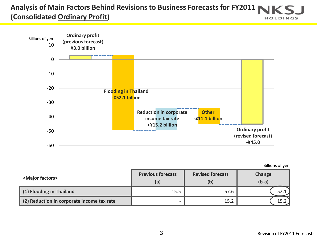### **Analysis of Main Factors Behind Revisions to Business Forecasts for FY2011 (Consolidated Ordinary Profit) HOLDINGS**



Billions of yen

| <major factors=""></major>                 | <b>Previous forecast</b><br>(a) | <b>Revised forecast</b><br>(b | Change<br>$(b-a)$ |
|--------------------------------------------|---------------------------------|-------------------------------|-------------------|
| (1) Flooding in Thailand                   | $-15.5$                         | $-67.6$                       |                   |
| (2) Reduction in corporate income tax rate | -                               | 15.2                          | ⊥ל⊥+              |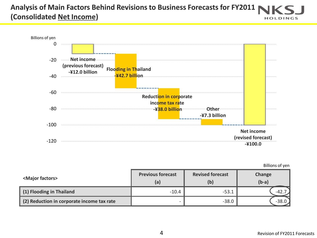### **Analysis of Main Factors Behind Revisions to Business Forecasts for FY2011 (Consolidated Net Income) HOLDINGS**



Billions of yen

| <major factors=""></major>                 | <b>Previous forecast</b><br>(a) | <b>Revised forecast</b><br>(b) | Change<br>$(b-a)$ |
|--------------------------------------------|---------------------------------|--------------------------------|-------------------|
| (1) Flooding in Thailand                   | $-10.4$                         | $-53.1$                        | $-42.$            |
| (2) Reduction in corporate income tax rate | $\overline{\phantom{0}}$        | $-38.0$                        | $-38.$            |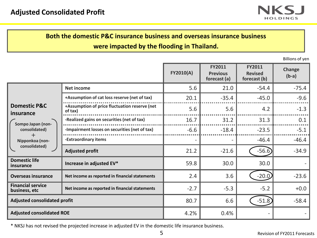

# **Both the domestic P&C insurance business and overseas insurance business**

**were impacted by the flooding in Thailand.**

Billions of yen

|                                           |                                                          | <b>FY2010(A)</b> | <b>FY2011</b><br><b>Previous</b><br>forecast (a) | <b>FY2011</b><br><b>Revised</b><br>forecast (b) | Change<br>$(b-a)$ |
|-------------------------------------------|----------------------------------------------------------|------------------|--------------------------------------------------|-------------------------------------------------|-------------------|
|                                           | <b>Net income</b>                                        | 5.6              | 21.0                                             | $-54.4$                                         | $-75.4$           |
|                                           | +Assumption of cat loss reserve (net of tax)             | 20.1             | $-35.4$                                          | $-45.0$                                         | $-9.6$            |
| <b>Domestic P&amp;C</b><br>insurance      | +Assumption of price fluctuation reserve (net<br>of tax) | 5.6              | 5.6                                              | 4.2                                             | $-1.3$            |
| Sompo Japan (non-                         | -Realized gains on securities (net of tax)               | 16.7             | 31.2                                             | 31.3                                            | 0.1               |
| consolidated)                             | -Impairment losses on securities (net of tax)            | $-6.6$           | $-18.4$                                          | $-23.5$                                         | $-5.1$            |
| ┿<br>Nipponkoa (non-                      | -Extraordinary items                                     |                  |                                                  | $-46.4$                                         | $-46.4$           |
| consolidated)                             | <b>Adjusted profit</b>                                   | 21.2             | $-21.6$                                          | $-56.6$                                         | $-34.9$           |
| <b>Domestic life</b><br>insurance         | Increase in adjusted EV*                                 | 59.8             | 30.0                                             | 30.0                                            |                   |
| <b>Overseas insurance</b>                 | Net income as reported in financial statements           | 2.4              | 3.6                                              | $-20.0$                                         | $-23.6$           |
| <b>Financial service</b><br>business, etc | Net income as reported in financial statements           | $-2.7$           | $-5.3$                                           | $-5.2$                                          | $+0.0$            |
| <b>Adjusted consolidated profit</b>       |                                                          | 80.7             | 6.6                                              | $-51.8$                                         | $-58.4$           |
| <b>Adjusted consolidated ROE</b>          |                                                          | 4.2%             | 0.4%                                             |                                                 |                   |

\* NKSJ has not revised the projected increase in adjusted EV in the domestic life insurance business.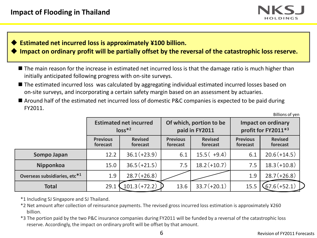

# **Estimated net incurred loss is approximately ¥100 billion.**

- **Impact on ordinary profit will be partially offset by the reversal of the catastrophic loss reserve.**
	- The main reason for the increase in estimated net incurred loss is that the damage ratio is much higher than initially anticipated following progress with on-site surveys.
	- The estimated incurred loss was calculated by aggregating individual estimated incurred losses based on on-site surveys, and incorporating a certain safety margin based on an assessment by actuaries.
	- Around half of the estimated net incurred loss of domestic P&C companies is expected to be paid during FY2011.

Billions of yen

|                                          |                             | <b>Estimated net incurred</b><br>$loss*2$ |                             | Of which, portion to be<br>paid in FY2011 |                             | <b>Impact on ordinary</b><br>profit for FY2011*3 |
|------------------------------------------|-----------------------------|-------------------------------------------|-----------------------------|-------------------------------------------|-----------------------------|--------------------------------------------------|
|                                          | <b>Previous</b><br>forecast | <b>Revised</b><br>forecast                | <b>Previous</b><br>forecast | <b>Revised</b><br>forecast                | <b>Previous</b><br>forecast | <b>Revised</b><br>forecast                       |
| Sompo Japan                              | 12.2                        | $36.1(+23.9)$                             | 6.1                         | $15.5(+9.4)$                              | 6.1                         | $20.6(+14.5)$                                    |
| Nipponkoa                                | 15.0                        | $36.5(+21.5)$                             | 7.5                         | $18.2(+10.7)$                             | 7.5                         | $18.3(+10.8)$                                    |
| Overseas subsidiaries, etc* <sup>1</sup> | 1.9                         | $28.7(+26.8)$                             |                             |                                           | 1.9                         | $28.7(+26.8)$                                    |
| <b>Total</b>                             | 29.1                        | $101.3 (+72.2)$                           | 13.6                        | $33.7(+20.1)$                             | 15.5                        | $67.6(+52.1)$                                    |

\*1 Including SJ Singapore and SJ Thailand.

- \*2 Net amount after collection of reinsurance payments. The revised gross incurred loss estimation is approximately ¥260 billion.
- \*3 The portion paid by the two P&C insurance companies during FY2011 will be funded by a reversal of the catastrophic loss reserve. Accordingly, the impact on ordinary profit will be offset by that amount.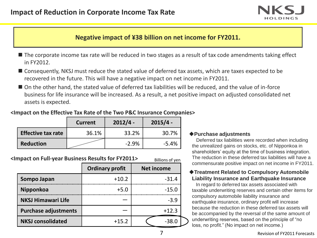

# **Negative impact of ¥38 billion on net income for FY2011.**

- The corporate income tax rate will be reduced in two stages as a result of tax code amendments taking effect in FY2012.
- Consequently, NKSJ must reduce the stated value of deferred tax assets, which are taxes expected to be recovered in the future. This will have a negative impact on net income in FY2011.
- On the other hand, the stated value of deferred tax liabilities will be reduced, and the value of in-force business for life insurance will be increased. As a result, a net positive impact on adjusted consolidated net assets is expected.

### **<Impact on the Effective Tax Rate of the Two P&C Insurance Companies>**

|                           | <b>Current</b> | $2012/4 -$ | $2015/4 -$ |
|---------------------------|----------------|------------|------------|
| <b>Effective tax rate</b> | 36.1%          | 33.2%      | 30.7%      |
| <b>Reduction</b>          |                | $-2.9%$    | $-5.4%$    |

#### **<Impact on Full-year Business Results for FY2011>** Billions of yen

|                             | <b>Ordinary profit</b> | <b>Net income</b> |
|-----------------------------|------------------------|-------------------|
| Sompo Japan                 | $+10.2$                | $-31.4$           |
| Nipponkoa                   | $+5.0$                 | $-15.0$           |
| <b>NKSJ Himawari Life</b>   |                        | $-3.9$            |
| <b>Purchase adjustments</b> |                        | $+12.3$           |
| <b>NKSJ consolidated</b>    | $+15.2$                | $-38.0$           |

### **Purchase adjustments**

Deferred tax liabilities were recorded when including the unrealized gains on stocks, etc. of Nipponkoa in shareholders' equity at the time of business integration. The reduction in these deferred tax liabilities will have a commensurate positive impact on net income in FY2011.

### **Treatment Related to Compulsory Automobile Liability Insurance and Earthquake Insurance**

In regard to deferred tax assets associated with taxable underwriting reserves and certain other items for compulsory automobile liability insurance and earthquake insurance, ordinary profit will increase because the reduction in these deferred tax assets will be accompanied by the reversal of the same amount of underwriting reserves, based on the principle of "no loss, no profit." (No impact on net income.)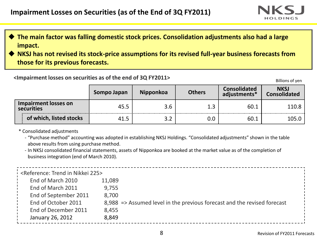

- **The main factor was falling domestic stock prices. Consolidation adjustments also had a large impact.**
- **NKSJ has not revised its stock-price assumptions for its revised full-year business forecasts from those for its previous forecasts.**

# **Exampairment losses on securities as of the end of 3Q FY2011>** All results of yen

|                                    | Sompo Japan | <b>Nipponkoa</b> | <b>Others</b> | <b>Consolidated</b><br>adjustments* | <b>NKSJ</b><br><b>Consolidated</b> |
|------------------------------------|-------------|------------------|---------------|-------------------------------------|------------------------------------|
| Impairment losses on<br>securities | 45.5        | 3.6              |               | 60.1<br>                            | 110.8                              |
| of which, listed stocks            | 41.5        |                  | 0.0           | 60.1                                | 105.0                              |

### \* Consolidated adjustments

- ‐ "Purchase method" accounting was adopted in establishing NKSJ Holdings. "Consolidated adjustments" shown in the table above results from using purchase method.
- ‐ In NKSJ consolidated financial statements, assets of Nipponkoa are booked at the market value as of the completion of business integration (end of March 2010).

| SReference: Trend in Nikkei 225> |                                                                          |  |
|----------------------------------|--------------------------------------------------------------------------|--|
| End of March 2010                | 11,089                                                                   |  |
| End of March 2011                | 9,755                                                                    |  |
| End of September 2011            | 8,700                                                                    |  |
| End of October 2011              | 8,988 => Assumed level in the previous forecast and the revised forecast |  |
| End of December 2011             | 8,455                                                                    |  |
| January 26, 2012                 | 8,849                                                                    |  |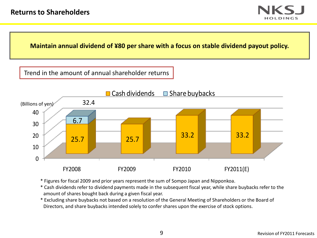

**Maintain annual dividend of ¥80 per share with a focus on stable dividend payout policy.**

Trend in the amount of annual shareholder returns



\* Figures for fiscal 2009 and prior years represent the sum of Sompo Japan and Nipponkoa.

\* Cash dividends refer to dividend payments made in the subsequent fiscal year, while share buybacks refer to the amount of shares bought back during a given fiscal year.

\* Excluding share buybacks not based on a resolution of the General Meeting of Shareholders or the Board of Directors, and share buybacks intended solely to confer shares upon the exercise of stock options.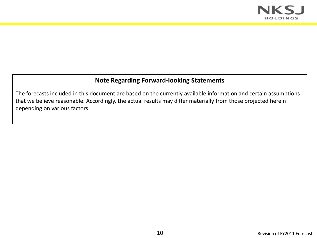

# **Note Regarding Forward-looking Statements**

The forecasts included in this document are based on the currently available information and certain assumptions that we believe reasonable. Accordingly, the actual results may differ materially from those projected herein depending on various factors.